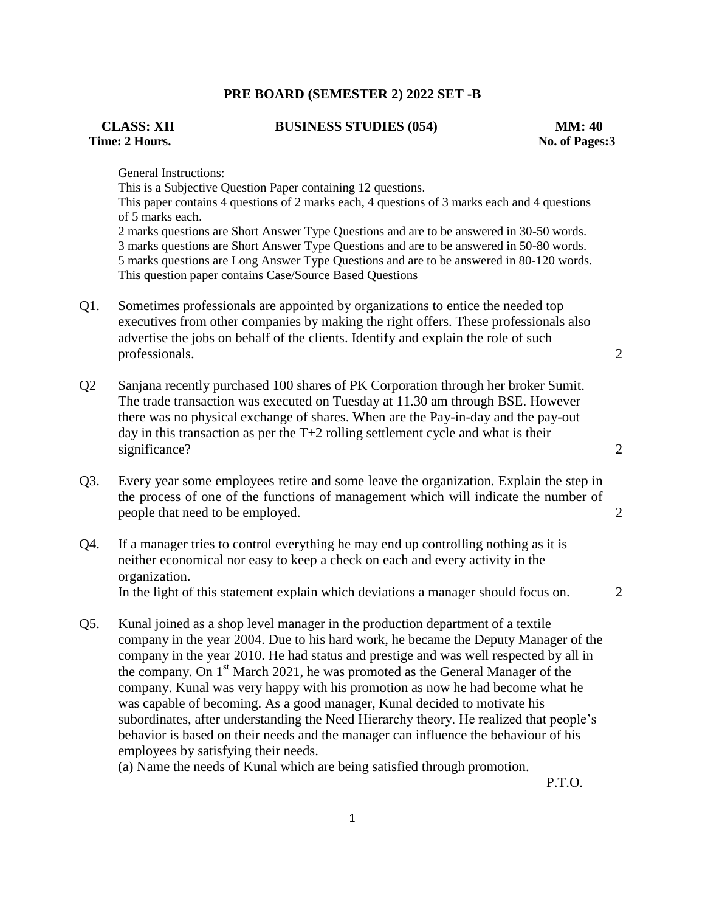## **PRE BOARD (SEMESTER 2) 2022 SET -B**

# **Time: 2 Hours. No. of Pages:3**

**CLASS: XII BUSINESS STUDIES (054) MM: 40**

General Instructions:

This is a Subjective Question Paper containing 12 questions. This paper contains 4 questions of 2 marks each, 4 questions of 3 marks each and 4 questions of 5 marks each. 2 marks questions are Short Answer Type Questions and are to be answered in 30-50 words. 3 marks questions are Short Answer Type Questions and are to be answered in 50-80 words. 5 marks questions are Long Answer Type Questions and are to be answered in 80-120 words. This question paper contains Case/Source Based Questions

Q1. Sometimes professionals are appointed by organizations to entice the needed top executives from other companies by making the right offers. These professionals also advertise the jobs on behalf of the clients. Identify and explain the role of such professionals. 2

- Q2 Sanjana recently purchased 100 shares of PK Corporation through her broker Sumit. The trade transaction was executed on Tuesday at 11.30 am through BSE. However there was no physical exchange of shares. When are the Pay-in-day and the pay-out – day in this transaction as per the  $T+2$  rolling settlement cycle and what is their significance? 2
- Q3. Every year some employees retire and some leave the organization. Explain the step in the process of one of the functions of management which will indicate the number of people that need to be employed. 2
- Q4. If a manager tries to control everything he may end up controlling nothing as it is neither economical nor easy to keep a check on each and every activity in the organization. In the light of this statement explain which deviations a manager should focus on. 2
- Q5. Kunal joined as a shop level manager in the production department of a textile company in the year 2004. Due to his hard work, he became the Deputy Manager of the company in the year 2010. He had status and prestige and was well respected by all in the company. On  $1<sup>st</sup>$  March 2021, he was promoted as the General Manager of the company. Kunal was very happy with his promotion as now he had become what he was capable of becoming. As a good manager, Kunal decided to motivate his subordinates, after understanding the Need Hierarchy theory. He realized that people's behavior is based on their needs and the manager can influence the behaviour of his employees by satisfying their needs.

(a) Name the needs of Kunal which are being satisfied through promotion.

P.T.O.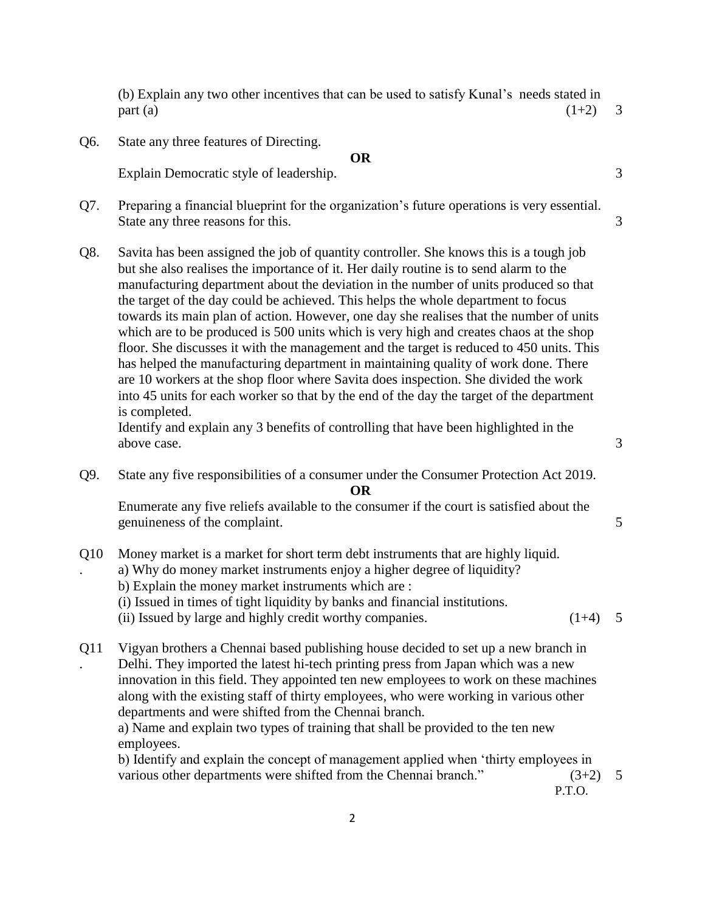(b) Explain any two other incentives that can be used to satisfy Kunal's needs stated in  $part(a)$  (1+2) 3

Q6. State any three features of Directing.

#### **OR**

Explain Democratic style of leadership.  $\frac{3}{3}$ 

- Q7. Preparing a financial blueprint for the organization's future operations is very essential. State any three reasons for this. 3
- Q8. Savita has been assigned the job of quantity controller. She knows this is a tough job but she also realises the importance of it. Her daily routine is to send alarm to the manufacturing department about the deviation in the number of units produced so that the target of the day could be achieved. This helps the whole department to focus towards its main plan of action. However, one day she realises that the number of units which are to be produced is 500 units which is very high and creates chaos at the shop floor. She discusses it with the management and the target is reduced to 450 units. This has helped the manufacturing department in maintaining quality of work done. There are 10 workers at the shop floor where Savita does inspection. She divided the work into 45 units for each worker so that by the end of the day the target of the department is completed.

Identify and explain any 3 benefits of controlling that have been highlighted in the above case. 3

Q9. State any five responsibilities of a consumer under the Consumer Protection Act 2019. **OR**

Enumerate any five reliefs available to the consumer if the court is satisfied about the genuineness of the complaint. 5

- Q10 Money market is a market for short term debt instruments that are highly liquid.
	- a) Why do money market instruments enjoy a higher degree of liquidity?
		- b) Explain the money market instruments which are :

.

- (i) Issued in times of tight liquidity by banks and financial institutions.
- (ii) Issued by large and highly credit worthy companies.  $(1+4)$  5
- Q11 . Vigyan brothers a Chennai based publishing house decided to set up a new branch in Delhi. They imported the latest hi-tech printing press from Japan which was a new innovation in this field. They appointed ten new employees to work on these machines along with the existing staff of thirty employees, who were working in various other departments and were shifted from the Chennai branch.

a) Name and explain two types of training that shall be provided to the ten new employees.

b) Identify and explain the concept of management applied when 'thirty employees in various other departments were shifted from the Chennai branch."  $(3+2)$  5

P.T.O.